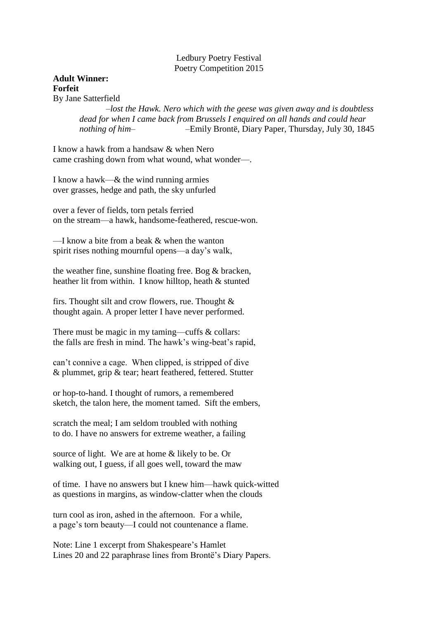Ledbury Poetry Festival Poetry Competition 2015

# **Adult Winner: Forfeit**

By Jane Satterfield

*–lost the Hawk. Nero which with the geese was given away and is doubtless dead for when I came back from Brussels I enquired on all hands and could hear nothing of him–* –Emily Brontë, Diary Paper, Thursday, July 30, 1845

I know a hawk from a handsaw & when Nero came crashing down from what wound, what wonder—.

I know a hawk—& the wind running armies over grasses, hedge and path, the sky unfurled

over a fever of fields, torn petals ferried on the stream—a hawk, handsome-feathered, rescue-won.

—I know a bite from a beak & when the wanton spirit rises nothing mournful opens—a day's walk,

the weather fine, sunshine floating free. Bog & bracken, heather lit from within. I know hilltop, heath & stunted

firs. Thought silt and crow flowers, rue. Thought & thought again. A proper letter I have never performed.

There must be magic in my taming—cuffs & collars: the falls are fresh in mind. The hawk's wing-beat's rapid,

can't connive a cage. When clipped, is stripped of dive & plummet, grip & tear; heart feathered, fettered. Stutter

or hop-to-hand. I thought of rumors, a remembered sketch, the talon here, the moment tamed. Sift the embers,

scratch the meal; I am seldom troubled with nothing to do. I have no answers for extreme weather, a failing

source of light. We are at home & likely to be. Or walking out, I guess, if all goes well, toward the maw

of time. I have no answers but I knew him—hawk quick-witted as questions in margins, as window-clatter when the clouds

turn cool as iron, ashed in the afternoon. For a while, a page's torn beauty—I could not countenance a flame.

Note: Line 1 excerpt from Shakespeare's Hamlet Lines 20 and 22 paraphrase lines from Brontë's Diary Papers.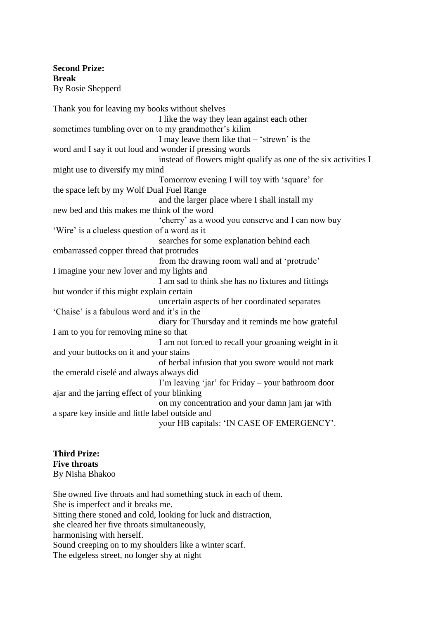**Second Prize: Break** By Rosie Shepperd

Thank you for leaving my books without shelves I like the way they lean against each other sometimes tumbling over on to my grandmother's kilim I may leave them like that – 'strewn' is the word and I say it out loud and wonder if pressing words instead of flowers might qualify as one of the six activities I might use to diversify my mind Tomorrow evening I will toy with 'square' for the space left by my Wolf Dual Fuel Range and the larger place where I shall install my new bed and this makes me think of the word 'cherry' as a wood you conserve and I can now buy 'Wire' is a clueless question of a word as it searches for some explanation behind each embarrassed copper thread that protrudes from the drawing room wall and at 'protrude' I imagine your new lover and my lights and I am sad to think she has no fixtures and fittings but wonder if this might explain certain uncertain aspects of her coordinated separates 'Chaise' is a fabulous word and it's in the diary for Thursday and it reminds me how grateful I am to you for removing mine so that I am not forced to recall your groaning weight in it and your buttocks on it and your stains of herbal infusion that you swore would not mark the emerald ciselé and always always did I'm leaving 'jar' for Friday – your bathroom door ajar and the jarring effect of your blinking on my concentration and your damn jam jar with a spare key inside and little label outside and your HB capitals: 'IN CASE OF EMERGENCY'.

**Third Prize: Five throats** By Nisha Bhakoo

She owned five throats and had something stuck in each of them. She is imperfect and it breaks me. Sitting there stoned and cold, looking for luck and distraction, she cleared her five throats simultaneously, harmonising with herself. Sound creeping on to my shoulders like a winter scarf. The edgeless street, no longer shy at night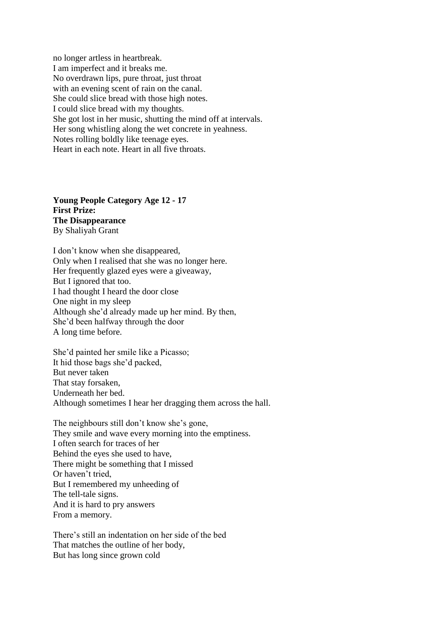no longer artless in heartbreak. I am imperfect and it breaks me. No overdrawn lips, pure throat, just throat with an evening scent of rain on the canal. She could slice bread with those high notes. I could slice bread with my thoughts. She got lost in her music, shutting the mind off at intervals. Her song whistling along the wet concrete in yeahness. Notes rolling boldly like teenage eyes. Heart in each note. Heart in all five throats.

**Young People Category Age 12 - 17 First Prize: The Disappearance**  By Shaliyah Grant

I don't know when she disappeared, Only when I realised that she was no longer here. Her frequently glazed eyes were a giveaway, But I ignored that too. I had thought I heard the door close One night in my sleep Although she'd already made up her mind. By then, She'd been halfway through the door A long time before.

She'd painted her smile like a Picasso; It hid those bags she'd packed, But never taken That stay forsaken, Underneath her bed. Although sometimes I hear her dragging them across the hall.

The neighbours still don't know she's gone, They smile and wave every morning into the emptiness. I often search for traces of her Behind the eyes she used to have, There might be something that I missed Or haven't tried, But I remembered my unheeding of The tell-tale signs. And it is hard to pry answers From a memory.

There's still an indentation on her side of the bed That matches the outline of her body, But has long since grown cold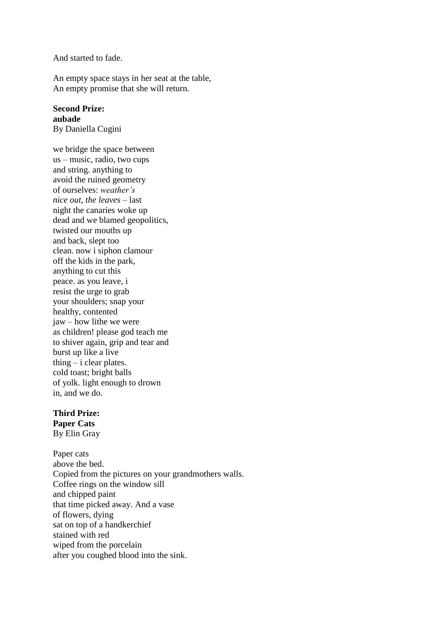And started to fade.

An empty space stays in her seat at the table, An empty promise that she will return.

#### **Second Prize: aubade**

By Daniella Cugini

we bridge the space between us – music, radio, two cups and string. anything to avoid the ruined geometry of ourselves: *weather's nice out, the leaves –* last night the canaries woke up dead and we blamed geopolitics, twisted our mouths up and back, slept too clean. now i siphon clamour off the kids in the park, anything to cut this peace. as you leave, i resist the urge to grab your shoulders; snap your healthy, contented jaw – how lithe we were as children! please god teach me to shiver again, grip and tear and burst up like a live thing  $-$  i clear plates. cold toast; bright balls of yolk. light enough to drown in, and we do.

#### **Third Prize:**

**Paper Cats** By Elin Gray

Paper cats above the bed. Copied from the pictures on your grandmothers walls. Coffee rings on the window sill and chipped paint that time picked away. And a vase of flowers, dying sat on top of a handkerchief stained with red wiped from the porcelain after you coughed blood into the sink.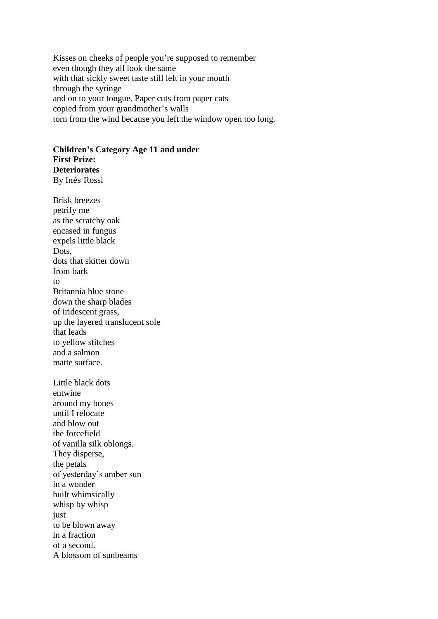Kisses on cheeks of people you're supposed to remember even though they all look the same with that sickly sweet taste still left in your mouth through the syringe and on to your tongue. Paper cuts from paper cats copied from your grandmother's walls torn from the wind because you left the window open too long.

## **Children's Category Age 11 and under First Prize: Deteriorates** By Inés Rossi

Brisk breezes petrify me as the scratchy oak encased in fungus expels little black Dots, dots that skitter down from bark to Britannia blue stone down the sharp blades of iridescent grass, up the layered translucent sole that leads to yellow stitches and a salmon matte surface. Little black dots entwine around my bones until I relocate and blow out the forcefield of vanilla silk oblongs. They disperse, the petals of yesterday's amber sun in a wonder built whimsically whisp by whisp just to be blown away in a fraction of a second.

A blossom of sunbeams